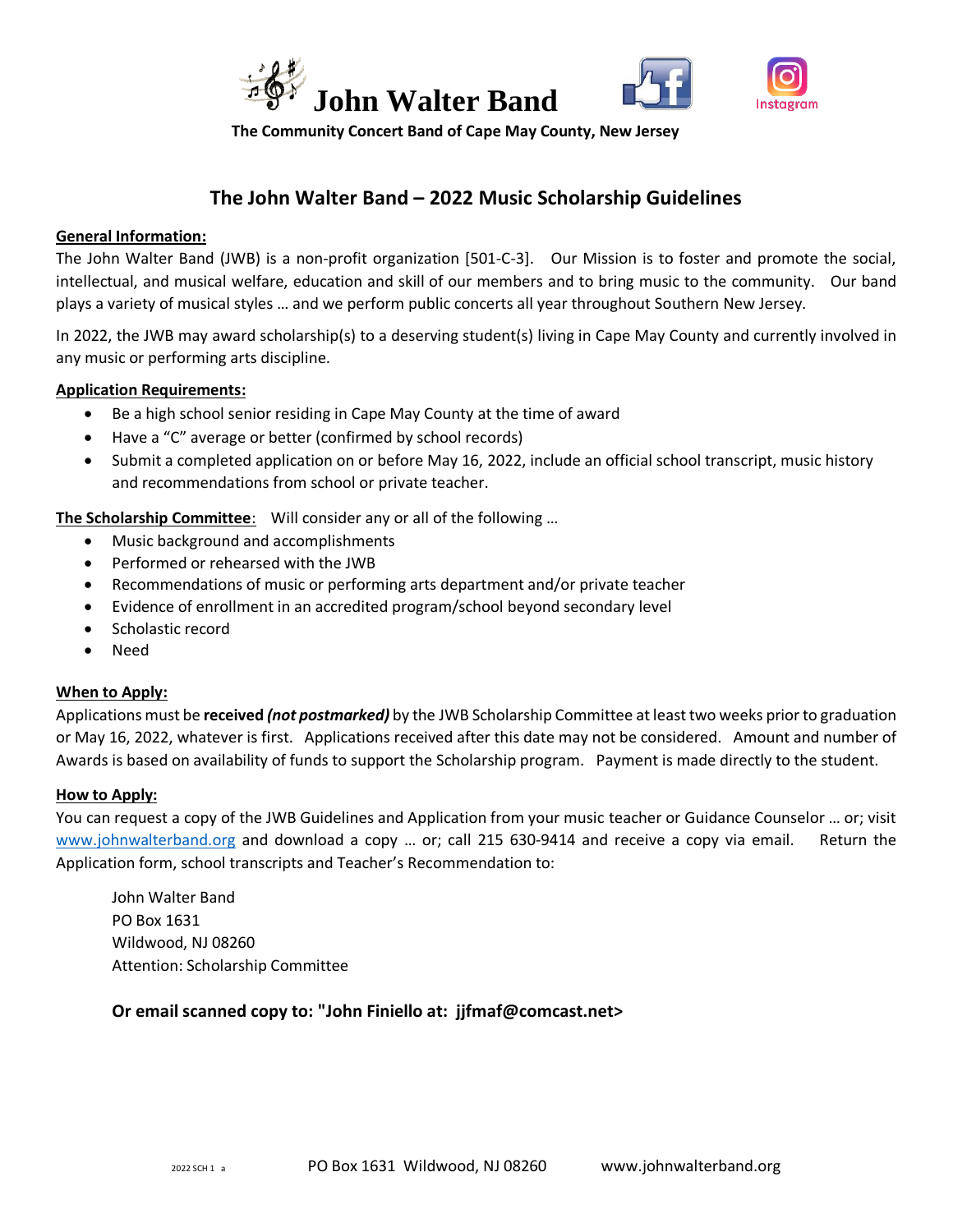



 **The Community Concert Band of Cape May County, New Jersey**

# **The John Walter Band – 2022 Music Scholarship Guidelines**

#### **General Information:**

The John Walter Band (JWB) is a non-profit organization [501-C-3]. Our Mission is to foster and promote the social, intellectual, and musical welfare, education and skill of our members and to bring music to the community. Our band plays a variety of musical styles … and we perform public concerts all year throughout Southern New Jersey.

In 2022, the JWB may award scholarship(s) to a deserving student(s) living in Cape May County and currently involved in any music or performing arts discipline.

#### **Application Requirements:**

- Be a high school senior residing in Cape May County at the time of award
- Have a "C" average or better (confirmed by school records)
- Submit a completed application on or before May 16, 2022, include an official school transcript, music history and recommendations from school or private teacher.

**The Scholarship Committee:** Will consider any or all of the following ...

- Music background and accomplishments
- Performed or rehearsed with the JWB
- Recommendations of music or performing arts department and/or private teacher
- Evidence of enrollment in an accredited program/school beyond secondary level
- Scholastic record
- Need

#### **When to Apply:**

Applications must be **received** *(not postmarked)* by the JWB Scholarship Committee at least two weeks prior to graduation or May 16, 2022, whatever is first. Applications received after this date may not be considered. Amount and number of Awards is based on availability of funds to support the Scholarship program. Payment is made directly to the student.

#### **How to Apply:**

You can request a copy of the JWB Guidelines and Application from your music teacher or Guidance Counselor … or; visit [www.johnwalterband.org](http://www.johnwalterband.org/) and download a copy … or; call 215 630-9414 and receive a copy via email. Return the Application form, school transcripts and Teacher's Recommendation to:

John Walter Band PO Box 1631 Wildwood, NJ 08260 Attention: Scholarship Committee

### **Or email scanned copy to: "John Finiello at: jjfmaf@comcast.net>**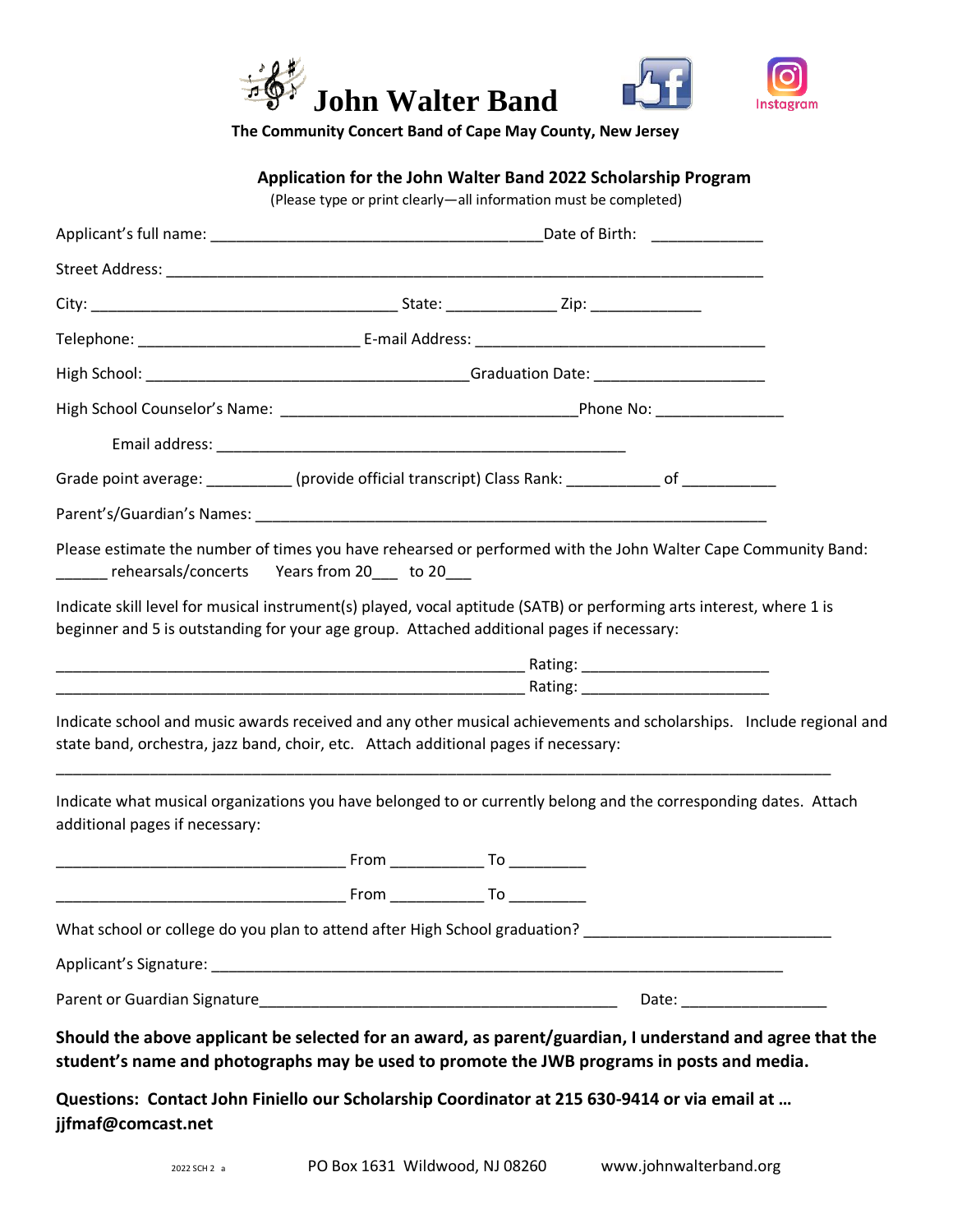



 **The Community Concert Band of Cape May County, New Jersey**

## **Application for the John Walter Band 2022 Scholarship Program**

(Please type or print clearly—all information must be completed)

| Grade point average: ___________ (provide official transcript) Class Rank: ___________ of ___________                                                                                                             |  |  |  |                           |  |  |
|-------------------------------------------------------------------------------------------------------------------------------------------------------------------------------------------------------------------|--|--|--|---------------------------|--|--|
|                                                                                                                                                                                                                   |  |  |  |                           |  |  |
| Please estimate the number of times you have rehearsed or performed with the John Walter Cape Community Band:<br>_______ rehearsals/concerts Years from 20____ to 20___                                           |  |  |  |                           |  |  |
| Indicate skill level for musical instrument(s) played, vocal aptitude (SATB) or performing arts interest, where 1 is<br>beginner and 5 is outstanding for your age group. Attached additional pages if necessary: |  |  |  |                           |  |  |
|                                                                                                                                                                                                                   |  |  |  |                           |  |  |
| Indicate school and music awards received and any other musical achievements and scholarships. Include regional and<br>state band, orchestra, jazz band, choir, etc. Attach additional pages if necessary:        |  |  |  |                           |  |  |
| Indicate what musical organizations you have belonged to or currently belong and the corresponding dates. Attach<br>additional pages if necessary:                                                                |  |  |  |                           |  |  |
|                                                                                                                                                                                                                   |  |  |  |                           |  |  |
|                                                                                                                                                                                                                   |  |  |  |                           |  |  |
| What school or college do you plan to attend after High School graduation?                                                                                                                                        |  |  |  |                           |  |  |
|                                                                                                                                                                                                                   |  |  |  |                           |  |  |
|                                                                                                                                                                                                                   |  |  |  | Date: ___________________ |  |  |
| Should the above applicant be selected for an award, as parent/guardian, I understand and agree that the<br>student's name and photographs may be used to promote the JWB programs in posts and media.            |  |  |  |                           |  |  |
| Questions: Contact John Finiello our Scholarship Coordinator at 215 630-9414 or via email at<br>jjfmaf@comcast.net                                                                                                |  |  |  |                           |  |  |